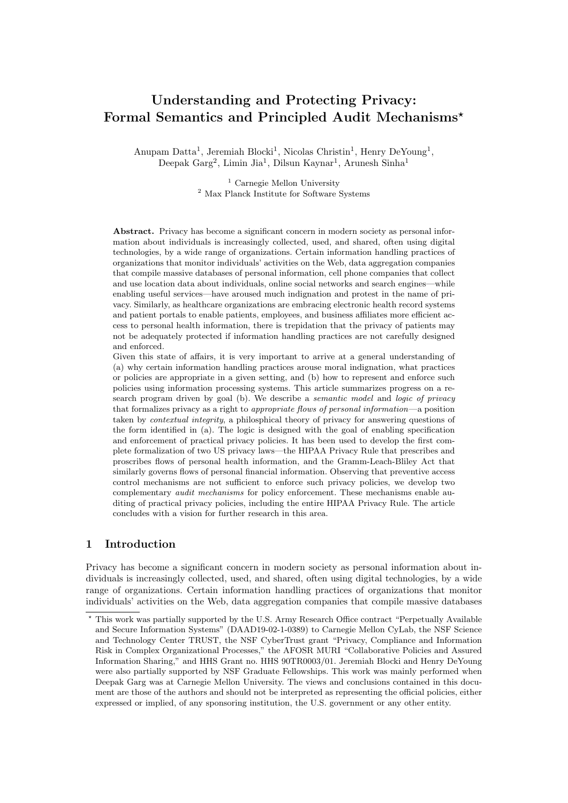# Understanding and Protecting Privacy: Formal Semantics and Principled Audit Mechanisms\*

Anupam Datta<sup>1</sup>, Jeremiah Blocki<sup>1</sup>, Nicolas Christin<sup>1</sup>, Henry DeYoung<sup>1</sup>, Deepak Garg<sup>2</sup>, Limin Jia<sup>1</sup>, Dilsun Kaynar<sup>1</sup>, Arunesh Sinha<sup>1</sup>

> <sup>1</sup> Carnegie Mellon University <sup>2</sup> Max Planck Institute for Software Systems

Abstract. Privacy has become a significant concern in modern society as personal information about individuals is increasingly collected, used, and shared, often using digital technologies, by a wide range of organizations. Certain information handling practices of organizations that monitor individuals' activities on the Web, data aggregation companies that compile massive databases of personal information, cell phone companies that collect and use location data about individuals, online social networks and search engines—while enabling useful services—have aroused much indignation and protest in the name of privacy. Similarly, as healthcare organizations are embracing electronic health record systems and patient portals to enable patients, employees, and business affiliates more efficient access to personal health information, there is trepidation that the privacy of patients may not be adequately protected if information handling practices are not carefully designed and enforced.

Given this state of affairs, it is very important to arrive at a general understanding of (a) why certain information handling practices arouse moral indignation, what practices or policies are appropriate in a given setting, and (b) how to represent and enforce such policies using information processing systems. This article summarizes progress on a research program driven by goal (b). We describe a semantic model and logic of privacy that formalizes privacy as a right to appropriate flows of personal information—a position taken by contextual integrity, a philosphical theory of privacy for answering questions of the form identified in (a). The logic is designed with the goal of enabling specification and enforcement of practical privacy policies. It has been used to develop the first complete formalization of two US privacy laws—the HIPAA Privacy Rule that prescribes and proscribes flows of personal health information, and the Gramm-Leach-Bliley Act that similarly governs flows of personal financial information. Observing that preventive access control mechanisms are not sufficient to enforce such privacy policies, we develop two complementary *audit mechanisms* for policy enforcement. These mechanisms enable auditing of practical privacy policies, including the entire HIPAA Privacy Rule. The article concludes with a vision for further research in this area.

## 1 Introduction

Privacy has become a significant concern in modern society as personal information about individuals is increasingly collected, used, and shared, often using digital technologies, by a wide range of organizations. Certain information handling practices of organizations that monitor individuals' activities on the Web, data aggregation companies that compile massive databases

<sup>?</sup> This work was partially supported by the U.S. Army Research Office contract "Perpetually Available and Secure Information Systems" (DAAD19-02-1-0389) to Carnegie Mellon CyLab, the NSF Science and Technology Center TRUST, the NSF CyberTrust grant "Privacy, Compliance and Information Risk in Complex Organizational Processes," the AFOSR MURI "Collaborative Policies and Assured Information Sharing," and HHS Grant no. HHS 90TR0003/01. Jeremiah Blocki and Henry DeYoung were also partially supported by NSF Graduate Fellowships. This work was mainly performed when Deepak Garg was at Carnegie Mellon University. The views and conclusions contained in this document are those of the authors and should not be interpreted as representing the official policies, either expressed or implied, of any sponsoring institution, the U.S. government or any other entity.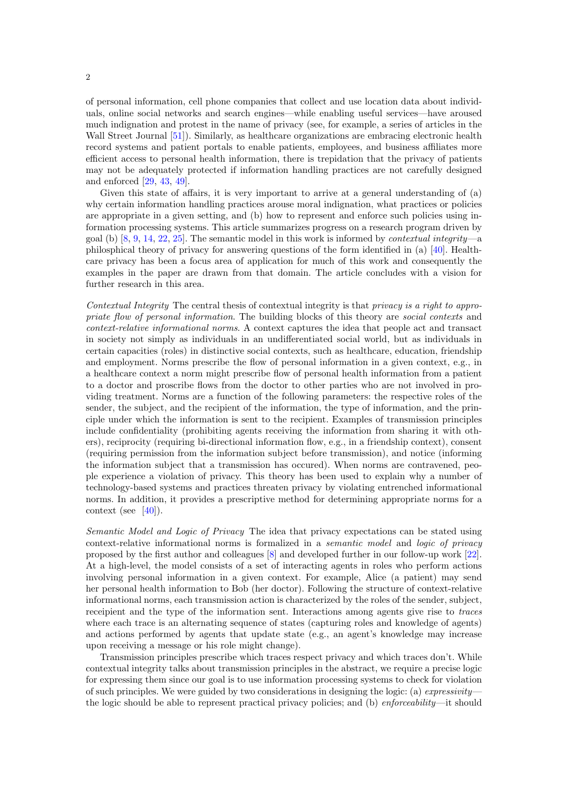of personal information, cell phone companies that collect and use location data about individuals, online social networks and search engines—while enabling useful services—have aroused much indignation and protest in the name of privacy (see, for example, a series of articles in the Wall Street Journal [\[51\]](#page-19-0)). Similarly, as healthcare organizations are embracing electronic health record systems and patient portals to enable patients, employees, and business affiliates more efficient access to personal health information, there is trepidation that the privacy of patients may not be adequately protected if information handling practices are not carefully designed and enforced [\[29,](#page-18-0) [43,](#page-19-1) [49\]](#page-19-2).

Given this state of affairs, it is very important to arrive at a general understanding of (a) why certain information handling practices arouse moral indignation, what practices or policies are appropriate in a given setting, and (b) how to represent and enforce such policies using information processing systems. This article summarizes progress on a research program driven by goal (b)  $[8, 9, 14, 22, 25]$  $[8, 9, 14, 22, 25]$  $[8, 9, 14, 22, 25]$  $[8, 9, 14, 22, 25]$  $[8, 9, 14, 22, 25]$  $[8, 9, 14, 22, 25]$  $[8, 9, 14, 22, 25]$  $[8, 9, 14, 22, 25]$  $[8, 9, 14, 22, 25]$ . The semantic model in this work is informed by *contextual integrity—a* philosphical theory of privacy for answering questions of the form identified in (a) [\[40\]](#page-19-3). Healthcare privacy has been a focus area of application for much of this work and consequently the examples in the paper are drawn from that domain. The article concludes with a vision for further research in this area.

Contextual Integrity The central thesis of contextual integrity is that privacy is a right to appropriate flow of personal information. The building blocks of this theory are social contexts and context-relative informational norms. A context captures the idea that people act and transact in society not simply as individuals in an undifferentiated social world, but as individuals in certain capacities (roles) in distinctive social contexts, such as healthcare, education, friendship and employment. Norms prescribe the flow of personal information in a given context, e.g., in a healthcare context a norm might prescribe flow of personal health information from a patient to a doctor and proscribe flows from the doctor to other parties who are not involved in providing treatment. Norms are a function of the following parameters: the respective roles of the sender, the subject, and the recipient of the information, the type of information, and the principle under which the information is sent to the recipient. Examples of transmission principles include confidentiality (prohibiting agents receiving the information from sharing it with others), reciprocity (requiring bi-directional information flow, e.g., in a friendship context), consent (requiring permission from the information subject before transmission), and notice (informing the information subject that a transmission has occured). When norms are contravened, people experience a violation of privacy. This theory has been used to explain why a number of technology-based systems and practices threaten privacy by violating entrenched informational norms. In addition, it provides a prescriptive method for determining appropriate norms for a context (see  $[40]$ ).

Semantic Model and Logic of Privacy The idea that privacy expectations can be stated using context-relative informational norms is formalized in a semantic model and logic of privacy proposed by the first author and colleagues [\[8\]](#page-17-0) and developed further in our follow-up work [\[22\]](#page-18-1). At a high-level, the model consists of a set of interacting agents in roles who perform actions involving personal information in a given context. For example, Alice (a patient) may send her personal health information to Bob (her doctor). Following the structure of context-relative informational norms, each transmission action is characterized by the roles of the sender, subject, receipient and the type of the information sent. Interactions among agents give rise to traces where each trace is an alternating sequence of states (capturing roles and knowledge of agents) and actions performed by agents that update state (e.g., an agent's knowledge may increase upon receiving a message or his role might change).

Transmission principles prescribe which traces respect privacy and which traces don't. While contextual integrity talks about transmission principles in the abstract, we require a precise logic for expressing them since our goal is to use information processing systems to check for violation of such principles. We were guided by two considerations in designing the logic: (a)  $\emph{expressivity}$  the logic should be able to represent practical privacy policies; and (b) enforceability—it should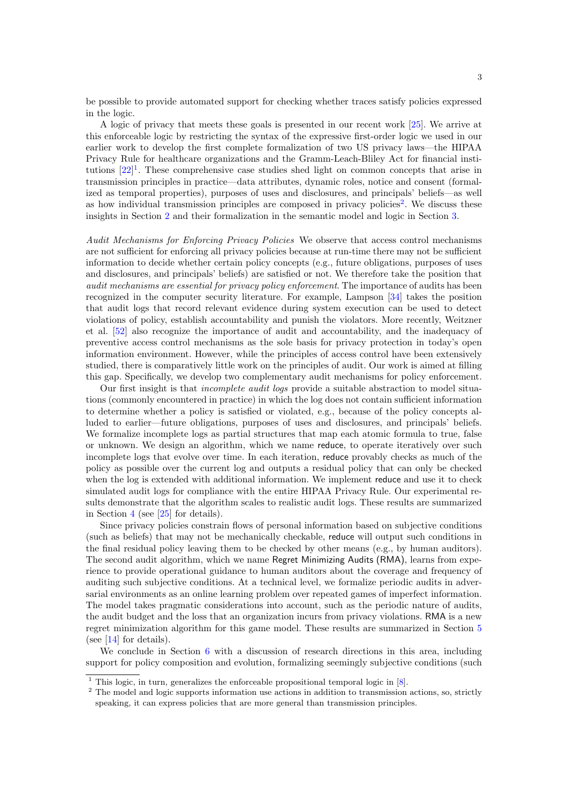be possible to provide automated support for checking whether traces satisfy policies expressed in the logic.

A logic of privacy that meets these goals is presented in our recent work [\[25\]](#page-18-2). We arrive at this enforceable logic by restricting the syntax of the expressive first-order logic we used in our earlier work to develop the first complete formalization of two US privacy laws—the HIPAA Privacy Rule for healthcare organizations and the Gramm-Leach-Bliley Act for financial institutions  $[22]$ <sup>[1](#page-2-0)</sup>. These comprehensive case studies shed light on common concepts that arise in transmission principles in practice—data attributes, dynamic roles, notice and consent (formalized as temporal properties), purposes of uses and disclosures, and principals' beliefs—as well as how individual transmission principles are composed in privacy policies<sup>[2](#page-2-1)</sup>. We discuss these insights in Section [2](#page-3-0) and their formalization in the semantic model and logic in Section [3.](#page-5-0)

Audit Mechanisms for Enforcing Privacy Policies We observe that access control mechanisms are not sufficient for enforcing all privacy policies because at run-time there may not be sufficient information to decide whether certain policy concepts (e.g., future obligations, purposes of uses and disclosures, and principals' beliefs) are satisfied or not. We therefore take the position that audit mechanisms are essential for privacy policy enforcement. The importance of audits has been recognized in the computer security literature. For example, Lampson [\[34\]](#page-18-3) takes the position that audit logs that record relevant evidence during system execution can be used to detect violations of policy, establish accountability and punish the violators. More recently, Weitzner et al. [\[52\]](#page-19-4) also recognize the importance of audit and accountability, and the inadequacy of preventive access control mechanisms as the sole basis for privacy protection in today's open information environment. However, while the principles of access control have been extensively studied, there is comparatively little work on the principles of audit. Our work is aimed at filling this gap. Specifically, we develop two complementary audit mechanisms for policy enforcement.

Our first insight is that incomplete audit logs provide a suitable abstraction to model situations (commonly encountered in practice) in which the log does not contain sufficient information to determine whether a policy is satisfied or violated, e.g., because of the policy concepts alluded to earlier—future obligations, purposes of uses and disclosures, and principals' beliefs. We formalize incomplete logs as partial structures that map each atomic formula to true, false or unknown. We design an algorithm, which we name reduce, to operate iteratively over such incomplete logs that evolve over time. In each iteration, reduce provably checks as much of the policy as possible over the current log and outputs a residual policy that can only be checked when the log is extended with additional information. We implement reduce and use it to check simulated audit logs for compliance with the entire HIPAA Privacy Rule. Our experimental results demonstrate that the algorithm scales to realistic audit logs. These results are summarized in Section [4](#page-9-0) (see [\[25\]](#page-18-2) for details).

Since privacy policies constrain flows of personal information based on subjective conditions (such as beliefs) that may not be mechanically checkable, reduce will output such conditions in the final residual policy leaving them to be checked by other means (e.g., by human auditors). The second audit algorithm, which we name Regret Minimizing Audits (RMA), learns from experience to provide operational guidance to human auditors about the coverage and frequency of auditing such subjective conditions. At a technical level, we formalize periodic audits in adversarial environments as an online learning problem over repeated games of imperfect information. The model takes pragmatic considerations into account, such as the periodic nature of audits, the audit budget and the loss that an organization incurs from privacy violations. RMA is a new regret minimization algorithm for this game model. These results are summarized in Section [5](#page-12-0) (see [\[14\]](#page-17-2) for details).

We conclude in Section [6](#page-16-0) with a discussion of research directions in this area, including support for policy composition and evolution, formalizing seemingly subjective conditions (such

<span id="page-2-0"></span> $1$  This logic, in turn, generalizes the enforceable propositional temporal logic in [\[8\]](#page-17-0).

<span id="page-2-1"></span><sup>&</sup>lt;sup>2</sup> The model and logic supports information use actions in addition to transmission actions, so, strictly speaking, it can express policies that are more general than transmission principles.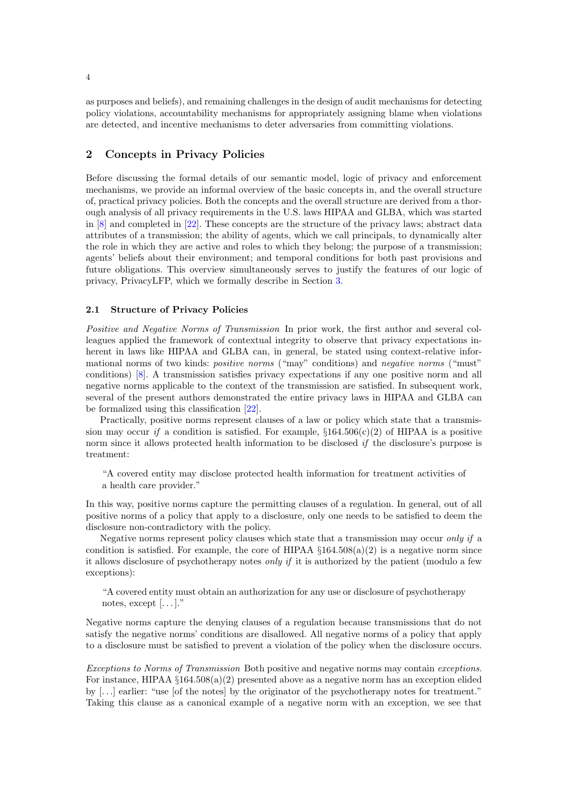as purposes and beliefs), and remaining challenges in the design of audit mechanisms for detecting policy violations, accountability mechanisms for appropriately assigning blame when violations are detected, and incentive mechanisms to deter adversaries from committing violations.

# <span id="page-3-0"></span>2 Concepts in Privacy Policies

Before discussing the formal details of our semantic model, logic of privacy and enforcement mechanisms, we provide an informal overview of the basic concepts in, and the overall structure of, practical privacy policies. Both the concepts and the overall structure are derived from a thorough analysis of all privacy requirements in the U.S. laws HIPAA and GLBA, which was started in [\[8\]](#page-17-0) and completed in [\[22\]](#page-18-1). These concepts are the structure of the privacy laws; abstract data attributes of a transmission; the ability of agents, which we call principals, to dynamically alter the role in which they are active and roles to which they belong; the purpose of a transmission; agents' beliefs about their environment; and temporal conditions for both past provisions and future obligations. This overview simultaneously serves to justify the features of our logic of privacy, PrivacyLFP, which we formally describe in Section [3.](#page-5-0)

#### <span id="page-3-1"></span>2.1 Structure of Privacy Policies

Positive and Negative Norms of Transmission In prior work, the first author and several colleagues applied the framework of contextual integrity to observe that privacy expectations inherent in laws like HIPAA and GLBA can, in general, be stated using context-relative informational norms of two kinds: *positive norms* ("may" conditions) and *negative norms* ("must" conditions) [\[8\]](#page-17-0). A transmission satisfies privacy expectations if any one positive norm and all negative norms applicable to the context of the transmission are satisfied. In subsequent work, several of the present authors demonstrated the entire privacy laws in HIPAA and GLBA can be formalized using this classification [\[22\]](#page-18-1).

Practically, positive norms represent clauses of a law or policy which state that a transmission may occur if a condition is satisfied. For example,  $\S164.506(c)(2)$  of HIPAA is a positive norm since it allows protected health information to be disclosed *if* the disclosure's purpose is treatment:

"A covered entity may disclose protected health information for treatment activities of a health care provider."

In this way, positive norms capture the permitting clauses of a regulation. In general, out of all positive norms of a policy that apply to a disclosure, only one needs to be satisfied to deem the disclosure non-contradictory with the policy.

Negative norms represent policy clauses which state that a transmission may occur only if a condition is satisfied. For example, the core of HIPAA  $\S 164.508(a)(2)$  is a negative norm since it allows disclosure of psychotherapy notes *only if* it is authorized by the patient (modulo a few exceptions):

"A covered entity must obtain an authorization for any use or disclosure of psychotherapy notes, except [. . . ]."

Negative norms capture the denying clauses of a regulation because transmissions that do not satisfy the negative norms' conditions are disallowed. All negative norms of a policy that apply to a disclosure must be satisfied to prevent a violation of the policy when the disclosure occurs.

Exceptions to Norms of Transmission Both positive and negative norms may contain exceptions. For instance, HIPAA  $\S 164.508(a)(2)$  presented above as a negative norm has an exception elided by [. . .] earlier: "use [of the notes] by the originator of the psychotherapy notes for treatment." Taking this clause as a canonical example of a negative norm with an exception, we see that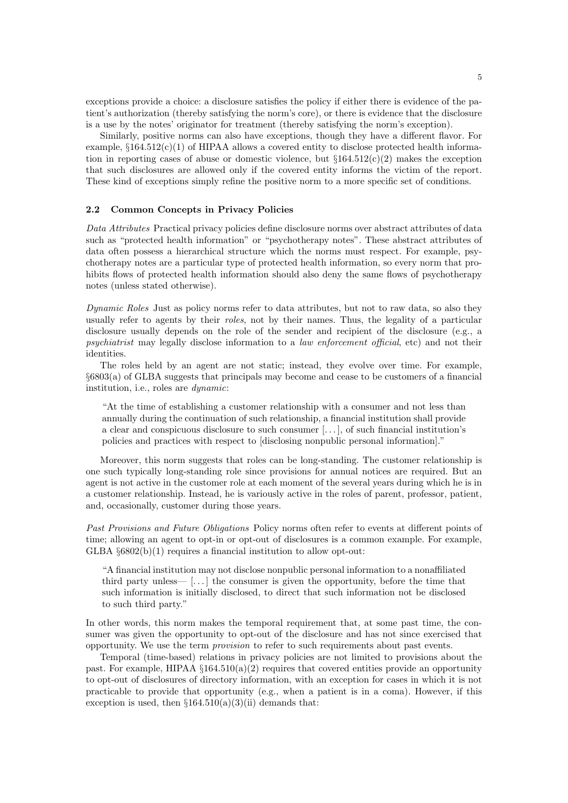exceptions provide a choice: a disclosure satisfies the policy if either there is evidence of the patient's authorization (thereby satisfying the norm's core), or there is evidence that the disclosure is a use by the notes' originator for treatment (thereby satisfying the norm's exception).

Similarly, positive norms can also have exceptions, though they have a different flavor. For example,  $\S164.512(c)(1)$  of HIPAA allows a covered entity to disclose protected health information in reporting cases of abuse or domestic violence, but  $\S 164.512(c)(2)$  makes the exception that such disclosures are allowed only if the covered entity informs the victim of the report. These kind of exceptions simply refine the positive norm to a more specific set of conditions.

#### <span id="page-4-0"></span>2.2 Common Concepts in Privacy Policies

<span id="page-4-1"></span>Data Attributes Practical privacy policies define disclosure norms over abstract attributes of data such as "protected health information" or "psychotherapy notes". These abstract attributes of data often possess a hierarchical structure which the norms must respect. For example, psychotherapy notes are a particular type of protected health information, so every norm that prohibits flows of protected health information should also deny the same flows of psychotherapy notes (unless stated otherwise).

<span id="page-4-2"></span>Dynamic Roles Just as policy norms refer to data attributes, but not to raw data, so also they usually refer to agents by their roles, not by their names. Thus, the legality of a particular disclosure usually depends on the role of the sender and recipient of the disclosure (e.g., a psychiatrist may legally disclose information to a law enforcement official, etc) and not their identities.

The roles held by an agent are not static; instead, they evolve over time. For example, §6803(a) of GLBA suggests that principals may become and cease to be customers of a financial institution, i.e., roles are dynamic:

"At the time of establishing a customer relationship with a consumer and not less than annually during the continuation of such relationship, a financial institution shall provide a clear and conspicuous disclosure to such consumer  $[\ldots]$ , of such financial institution's policies and practices with respect to [disclosing nonpublic personal information]."

Moreover, this norm suggests that roles can be long-standing. The customer relationship is one such typically long-standing role since provisions for annual notices are required. But an agent is not active in the customer role at each moment of the several years during which he is in a customer relationship. Instead, he is variously active in the roles of parent, professor, patient, and, occasionally, customer during those years.

<span id="page-4-3"></span>Past Provisions and Future Obligations Policy norms often refer to events at different points of time; allowing an agent to opt-in or opt-out of disclosures is a common example. For example, GLBA  $\S 6802(b)(1)$  requires a financial institution to allow opt-out:

"A financial institution may not disclose nonpublic personal information to a nonaffiliated third party unless—  $[\dots]$  the consumer is given the opportunity, before the time that such information is initially disclosed, to direct that such information not be disclosed to such third party."

In other words, this norm makes the temporal requirement that, at some past time, the consumer was given the opportunity to opt-out of the disclosure and has not since exercised that opportunity. We use the term provision to refer to such requirements about past events.

Temporal (time-based) relations in privacy policies are not limited to provisions about the past. For example, HIPAA  $\S 164.510(a)(2)$  requires that covered entities provide an opportunity to opt-out of disclosures of directory information, with an exception for cases in which it is not practicable to provide that opportunity (e.g., when a patient is in a coma). However, if this exception is used, then  $\S 164.510(a)(3)(ii)$  demands that: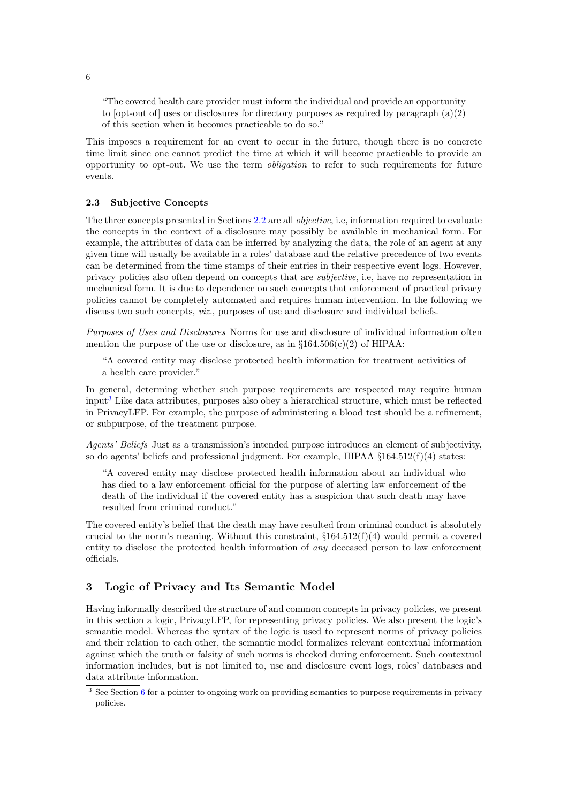"The covered health care provider must inform the individual and provide an opportunity to [opt-out of] uses or disclosures for directory purposes as required by paragraph  $(a)(2)$ of this section when it becomes practicable to do so."

This imposes a requirement for an event to occur in the future, though there is no concrete time limit since one cannot predict the time at which it will become practicable to provide an opportunity to opt-out. We use the term obligation to refer to such requirements for future events.

#### <span id="page-5-2"></span>2.3 Subjective Concepts

The three concepts presented in Sections [2.2](#page-4-0) are all objective, i.e, information required to evaluate the concepts in the context of a disclosure may possibly be available in mechanical form. For example, the attributes of data can be inferred by analyzing the data, the role of an agent at any given time will usually be available in a roles' database and the relative precedence of two events can be determined from the time stamps of their entries in their respective event logs. However, privacy policies also often depend on concepts that are subjective, i.e, have no representation in mechanical form. It is due to dependence on such concepts that enforcement of practical privacy policies cannot be completely automated and requires human intervention. In the following we discuss two such concepts, viz., purposes of use and disclosure and individual beliefs.

<span id="page-5-3"></span>Purposes of Uses and Disclosures Norms for use and disclosure of individual information often mention the purpose of the use or disclosure, as in  $§164.506(c)(2)$  of HIPAA:

"A covered entity may disclose protected health information for treatment activities of a health care provider."

In general, determing whether such purpose requirements are respected may require human input[3](#page-5-1) Like data attributes, purposes also obey a hierarchical structure, which must be reflected in PrivacyLFP. For example, the purpose of administering a blood test should be a refinement, or subpurpose, of the treatment purpose.

<span id="page-5-4"></span>Agents' Beliefs Just as a transmission's intended purpose introduces an element of subjectivity, so do agents' beliefs and professional judgment. For example, HIPAA  $\S 164.512(f)(4)$  states:

"A covered entity may disclose protected health information about an individual who has died to a law enforcement official for the purpose of alerting law enforcement of the death of the individual if the covered entity has a suspicion that such death may have resulted from criminal conduct."

The covered entity's belief that the death may have resulted from criminal conduct is absolutely crucial to the norm's meaning. Without this constraint,  $\S164.512(f)(4)$  would permit a covered entity to disclose the protected health information of any deceased person to law enforcement officials.

## <span id="page-5-0"></span>3 Logic of Privacy and Its Semantic Model

Having informally described the structure of and common concepts in privacy policies, we present in this section a logic, PrivacyLFP, for representing privacy policies. We also present the logic's semantic model. Whereas the syntax of the logic is used to represent norms of privacy policies and their relation to each other, the semantic model formalizes relevant contextual information against which the truth or falsity of such norms is checked during enforcement. Such contextual information includes, but is not limited to, use and disclosure event logs, roles' databases and data attribute information.

<span id="page-5-1"></span><sup>&</sup>lt;sup>3</sup> See Section [6](#page-16-0) for a pointer to ongoing work on providing semantics to purpose requirements in privacy policies.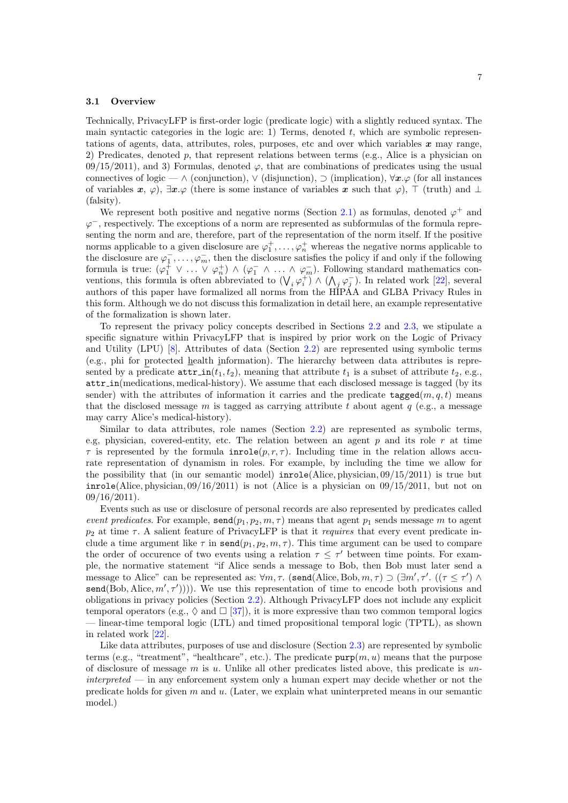#### <span id="page-6-0"></span>3.1 Overview

Technically, PrivacyLFP is first-order logic (predicate logic) with a slightly reduced syntax. The main syntactic categories in the logic are: 1) Terms, denoted  $t$ , which are symbolic representations of agents, data, attributes, roles, purposes, etc and over which variables  $x$  may range, 2) Predicates, denoted p, that represent relations between terms (e.g., Alice is a physician on 09/15/2011), and 3) Formulas, denoted  $\varphi$ , that are combinations of predicates using the usual connectives of logic —  $\land$  (conjunction),  $\lor$  (disjunction),  $\lor$  (implication),  $\forall x.\varphi$  (for all instances of variables  $x, \varphi$ ,  $\exists x \varphi$  (there is some instance of variables x such that  $\varphi$ ),  $\top$  (truth) and  $\bot$ (falsity).

We represent both positive and negative norms (Section [2.1\)](#page-3-1) as formulas, denoted  $\varphi^+$  and  $\varphi$ <sup>-</sup>, respectively. The exceptions of a norm are represented as subformulas of the formula representing the norm and are, therefore, part of the representation of the norm itself. If the positive norms applicable to a given disclosure are  $\varphi_1^+, \ldots, \varphi_n^+$  whereas the negative norms applicable to the disclosure are  $\varphi_1^-, \ldots, \varphi_m^-,$  then the disclosure satisfies the policy if and only if the following formula is true:  $(\varphi_1^{\dagger} \vee \ldots \vee \varphi_n^{\dagger}) \wedge (\varphi_1^{-} \wedge \ldots \wedge \varphi_m^{-})$ . Following standard mathematics conventions, this formula is often abbreviated to  $(\bigvee_i \varphi_i^+) \wedge (\bigwedge_j \varphi_j^-)$ . In related work [\[22\]](#page-18-1), several authors of this paper have formalized all norms from the HIPAA and GLBA Privacy Rules in this form. Although we do not discuss this formalization in detail here, an example representative of the formalization is shown later.

To represent the privacy policy concepts described in Sections [2.2](#page-4-0) and [2.3,](#page-5-2) we stipulate a specific signature within PrivacyLFP that is inspired by prior work on the Logic of Privacy and Utility (LPU) [\[8\]](#page-17-0). Attributes of data (Section [2.2\)](#page-4-1) are represented using symbolic terms (e.g., phi for protected health information). The hierarchy between data attributes is represented by a predicate  $\texttt{attr.in}(t_1, t_2)$ , meaning that attribute  $t_1$  is a subset of attribute  $t_2$ , e.g., attr in(medications, medical-history). We assume that each disclosed message is tagged (by its sender) with the attributes of information it carries and the predicate tagged $(m, q, t)$  means that the disclosed message m is tagged as carrying attribute t about agent  $q$  (e.g., a message may carry Alice's medical-history).

Similar to data attributes, role names (Section [2.2\)](#page-4-2) are represented as symbolic terms, e.g, physician, covered-entity, etc. The relation between an agent  $p$  and its role  $r$  at time  $\tau$  is represented by the formula  $\text{inrole}(p, r, \tau)$ . Including time in the relation allows accurate representation of dynamism in roles. For example, by including the time we allow for the possibility that (in our semantic model) inrole(Alice, physician, 09/15/2011) is true but inrole(Alice, physician,  $0.09/16/2011$ ) is not (Alice is a physician on  $0.09/15/2011$ , but not on 09/16/2011).

Events such as use or disclosure of personal records are also represented by predicates called event predicates. For example,  $\texttt{send}(p_1, p_2, m, \tau)$  means that agent  $p_1$  sends message m to agent  $p_2$  at time  $\tau$ . A salient feature of PrivacyLFP is that it *requires* that every event predicate include a time argument like  $\tau$  in  $\text{send}(p_1, p_2, m, \tau)$ . This time argument can be used to compare the order of occurence of two events using a relation  $\tau \leq \tau'$  between time points. For example, the normative statement "if Alice sends a message to Bob, then Bob must later send a message to Alice" can be represented as:  $\forall m, \tau$ . (send(Alice, Bob,  $m, \tau$ )  $\supset (\exists m', \tau'. ((\tau \leq \tau') \land$  $\texttt{send}(\text{Bob}, \text{Alice}, m', \tau'))$ ). We use this representation of time to encode both provisions and obligations in privacy policies (Section [2.2\)](#page-4-3). Although PrivacyLFP does not include any explicit temporal operators (e.g.,  $\Diamond$  and  $\Box$  [\[37\]](#page-18-4)), it is more expressive than two common temporal logics — linear-time temporal logic (LTL) and timed propositional temporal logic (TPTL), as shown in related work [\[22\]](#page-18-1).

Like data attributes, purposes of use and disclosure (Section [2.3\)](#page-5-3) are represented by symbolic terms (e.g., "treatment", "healthcare", etc.). The predicate  $\text{pump}(m, u)$  means that the purpose of disclosure of message  $m$  is  $u$ . Unlike all other predicates listed above, this predicate is  $un$  $interpreted$  — in any enforcement system only a human expert may decide whether or not the predicate holds for given  $m$  and  $u$ . (Later, we explain what uninterpreted means in our semantic model.)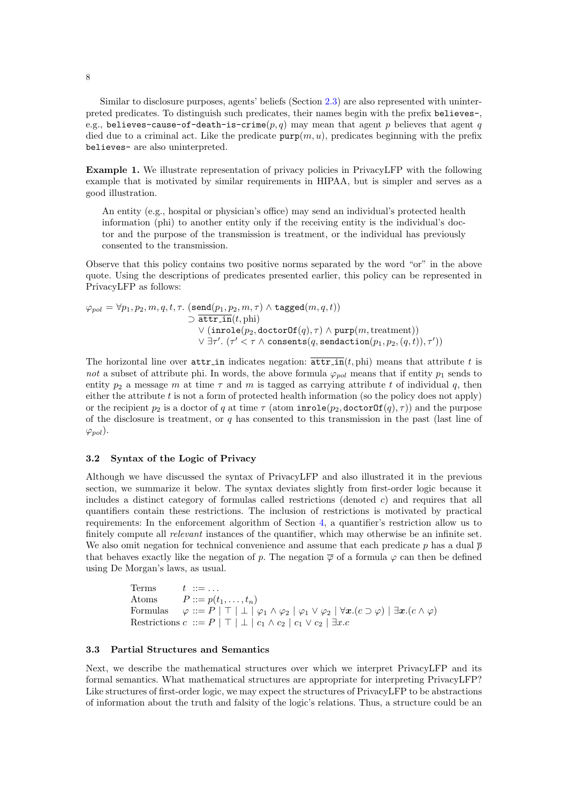Similar to disclosure purposes, agents' beliefs (Section [2.3\)](#page-5-4) are also represented with uninterpreted predicates. To distinguish such predicates, their names begin with the prefix believes-, e.g., believes-cause-of-death-is-crime( $p, q$ ) may mean that agent p believes that agent q died due to a criminal act. Like the predicate  $\text{pump}(m, u)$ , predicates beginning with the prefix believes- are also uninterpreted.

Example 1. We illustrate representation of privacy policies in PrivacyLFP with the following example that is motivated by similar requirements in HIPAA, but is simpler and serves as a good illustration.

An entity (e.g., hospital or physician's office) may send an individual's protected health information (phi) to another entity only if the receiving entity is the individual's doctor and the purpose of the transmission is treatment, or the individual has previously consented to the transmission.

Observe that this policy contains two positive norms separated by the word "or" in the above quote. Using the descriptions of predicates presented earlier, this policy can be represented in PrivacyLFP as follows:

$$
\varphi_{pol} = \forall p_1, p_2, m, q, t, \tau. \; (\texttt{send}(p_1, p_2, m, \tau) \land \texttt{tagged}(m, q, t)) \\ \supset \overline{\texttt{attr.in}}(t, \text{phi}) \\ \qquad \qquad \lor (\overline{\texttt{inrole}}(p_2, \texttt{doctorOf}(q), \tau) \land \texttt{purp}(m, \texttt{treatment})) \\ \qquad \qquad \lor \exists \tau'. \; (\tau' < \tau \land \texttt{consents}(q, \texttt{sendaction}(p_1, p_2, (q, t)), \tau')) \\
$$

The horizontal line over  $\text{attr.in}$  indicates negation:  $\overline{\text{attr.in}}(t, \text{phi})$  means that attribute t is not a subset of attribute phi. In words, the above formula  $\varphi_{pol}$  means that if entity  $p_1$  sends to entity  $p_2$  a message m at time  $\tau$  and m is tagged as carrying attribute t of individual q, then either the attribute  $t$  is not a form of protected health information (so the policy does not apply) or the recipient  $p_2$  is a doctor of q at time  $\tau$  (atom inrole( $p_2$ , doctorOf(q),  $\tau$ )) and the purpose of the disclosure is treatment, or q has consented to this transmission in the past (last line of  $\varphi_{pol}$ ).

#### 3.2 Syntax of the Logic of Privacy

Although we have discussed the syntax of PrivacyLFP and also illustrated it in the previous section, we summarize it below. The syntax deviates slightly from first-order logic because it includes a distinct category of formulas called restrictions (denoted  $c$ ) and requires that all quantifiers contain these restrictions. The inclusion of restrictions is motivated by practical requirements: In the enforcement algorithm of Section [4,](#page-9-0) a quantifier's restriction allow us to finitely compute all relevant instances of the quantifier, which may otherwise be an infinite set. We also omit negation for technical convenience and assume that each predicate p has a dual  $\bar{p}$ that behaves exactly like the negation of p. The negation  $\overline{\varphi}$  of a formula  $\varphi$  can then be defined using De Morgan's laws, as usual.

> Terms  $t ::= \dots$ Atoms  $P ::= p(t_1, \ldots, t_n)$ Formulas  $\varphi ::= P \mid \top \mid \bot \mid \varphi_1 \wedge \varphi_2 \mid \varphi_1 \vee \varphi_2 \mid \forall x.(c \supset \varphi) \mid \exists x.(c \wedge \varphi)$ Restrictions  $c ::= P | \top | \bot | c_1 \wedge c_2 | c_1 \vee c_2 | \exists x.c$

#### 3.3 Partial Structures and Semantics

Next, we describe the mathematical structures over which we interpret PrivacyLFP and its formal semantics. What mathematical structures are appropriate for interpreting PrivacyLFP? Like structures of first-order logic, we may expect the structures of PrivacyLFP to be abstractions of information about the truth and falsity of the logic's relations. Thus, a structure could be an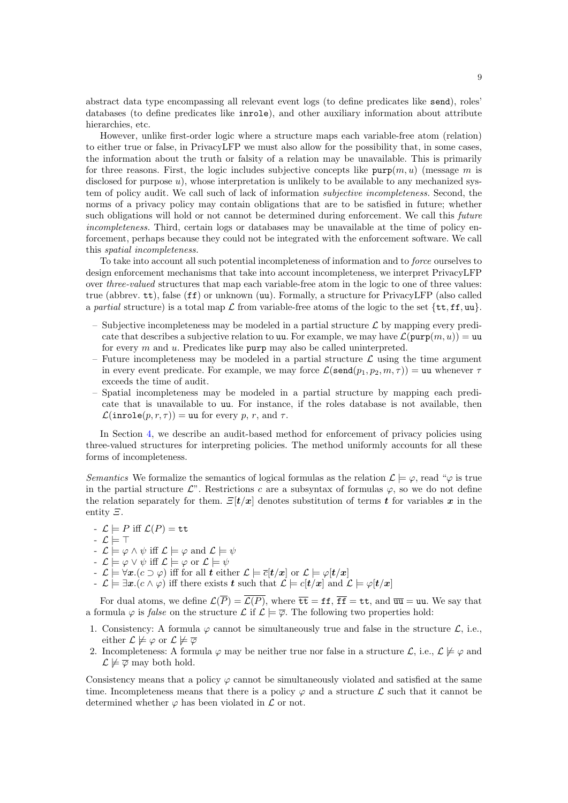abstract data type encompassing all relevant event logs (to define predicates like send), roles' databases (to define predicates like inrole), and other auxiliary information about attribute hierarchies, etc.

However, unlike first-order logic where a structure maps each variable-free atom (relation) to either true or false, in PrivacyLFP we must also allow for the possibility that, in some cases, the information about the truth or falsity of a relation may be unavailable. This is primarily for three reasons. First, the logic includes subjective concepts like  $\text{pump}(m, u)$  (message m is disclosed for purpose  $u$ ), whose interpretation is unlikely to be available to any mechanized system of policy audit. We call such of lack of information subjective incompleteness. Second, the norms of a privacy policy may contain obligations that are to be satisfied in future; whether such obligations will hold or not cannot be determined during enforcement. We call this *future* incompleteness. Third, certain logs or databases may be unavailable at the time of policy enforcement, perhaps because they could not be integrated with the enforcement software. We call this spatial incompleteness.

To take into account all such potential incompleteness of information and to force ourselves to design enforcement mechanisms that take into account incompleteness, we interpret PrivacyLFP over three-valued structures that map each variable-free atom in the logic to one of three values: true (abbrev. tt), false (ff) or unknown (uu). Formally, a structure for PrivacyLFP (also called a partial structure) is a total map L from variable-free atoms of the logic to the set  $\{\texttt{tt}, \texttt{ff}, \texttt{uu}\}.$ 

- Subjective incompleteness may be modeled in a partial structure  $\mathcal L$  by mapping every predicate that describes a subjective relation to uu. For example, we may have  $\mathcal{L}(\text{pump}(m, u)) =$  uu for every  $m$  and  $u$ . Predicates like purp may also be called uninterpreted.
- Future incompleteness may be modeled in a partial structure  $\mathcal L$  using the time argument in every event predicate. For example, we may force  $\mathcal{L}(\text{send}(p_1, p_2, m, \tau)) =$  uu whenever  $\tau$ exceeds the time of audit.
- Spatial incompleteness may be modeled in a partial structure by mapping each predicate that is unavailable to uu. For instance, if the roles database is not available, then  $\mathcal{L}(\texttt{inrole}(p, r, \tau)) = \texttt{uu}$  for every p, r, and  $\tau$ .

In Section [4,](#page-9-0) we describe an audit-based method for enforcement of privacy policies using three-valued structures for interpreting policies. The method uniformly accounts for all these forms of incompleteness.

Semantics We formalize the semantics of logical formulas as the relation  $\mathcal{L} \models \varphi$ , read " $\varphi$  is true in the partial structure  $\mathcal{L}$ ". Restrictions c are a subsyntax of formulas  $\varphi$ , so we do not define the relation separately for them.  $\mathbb{E}[t/x]$  denotes substitution of terms t for variables x in the entity Ξ.

- $\mathcal{L} \models P \text{ iff } \mathcal{L}(P) = \mathtt{tt}$
- $\mathcal{L} \models \top$
- $\begin{array}{c} \text{-} \mathcal{L} \models \varphi \land \psi \text{ iff } \mathcal{L} \models \varphi \text{ and } \mathcal{L} \models \psi \end{array}$
- $\mathcal{L} \models \varphi \vee \psi \text{ iff } \mathcal{L} \models \varphi \text{ or } \mathcal{L} \models \psi$
- $\mathcal{L} = \mathcal{L} = \forall x. (c \supset \varphi)$  iff for all  $t$  either  $\mathcal{L} \models \overline{c}[t/x]$  or  $\mathcal{L} \models \varphi[t/x]$
- $\mathcal{L} \models \exists x. (c \land \varphi)$  iff there exists t such that  $\mathcal{L} \models c[t/x]$  and  $\mathcal{L} \models \varphi[t/x]$

For dual atoms, we define  $\mathcal{L}(\overline{P}) = \overline{\mathcal{L}(P)}$ , where  $\overline{tt} = ff$ ,  $\overline{ff} = tt$ , and  $\overline{uu} = uu$ . We say that a formula  $\varphi$  is false on the structure  $\mathcal L$  if  $\mathcal L \models \overline{\varphi}$ . The following two properties hold:

- 1. Consistency: A formula  $\varphi$  cannot be simultaneously true and false in the structure  $\mathcal{L}$ , i.e., either  $\mathcal{L} \not\models \varphi$  or  $\mathcal{L} \not\models \overline{\varphi}$
- 2. Incompleteness: A formula  $\varphi$  may be neither true nor false in a structure  $\mathcal{L}$ , i.e.,  $\mathcal{L} \not\models \varphi$  and  $\mathcal{L} \not\models \overline{\varphi}$  may both hold.

Consistency means that a policy  $\varphi$  cannot be simultaneously violated and satisfied at the same time. Incompleteness means that there is a policy  $\varphi$  and a structure  $\mathcal L$  such that it cannot be determined whether  $\varphi$  has been violated in  $\mathcal L$  or not.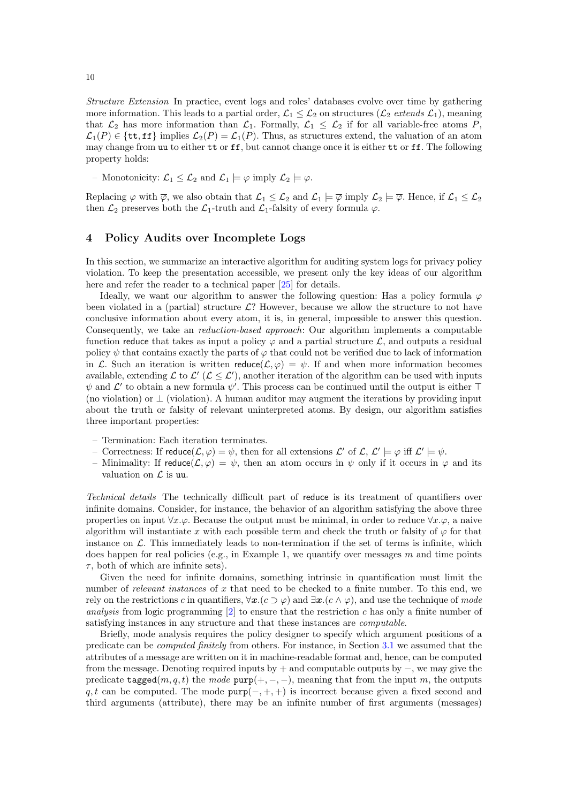Structure Extension In practice, event logs and roles' databases evolve over time by gathering more information. This leads to a partial order,  $\mathcal{L}_1 \leq \mathcal{L}_2$  on structures  $(\mathcal{L}_2$  extends  $\mathcal{L}_1)$ , meaning that  $\mathcal{L}_2$  has more information than  $\mathcal{L}_1$ . Formally,  $\mathcal{L}_1 \leq \mathcal{L}_2$  if for all variable-free atoms P,  $\mathcal{L}_1(P) \in \{\texttt{tt}, \texttt{ff}\}$  implies  $\mathcal{L}_2(P) = \mathcal{L}_1(P)$ . Thus, as structures extend, the valuation of an atom may change from uu to either tt or ff, but cannot change once it is either tt or ff. The following property holds:

– Monotonicity:  $\mathcal{L}_1 \leq \mathcal{L}_2$  and  $\mathcal{L}_1 \models \varphi$  imply  $\mathcal{L}_2 \models \varphi$ .

Replacing  $\varphi$  with  $\overline{\varphi}$ , we also obtain that  $\mathcal{L}_1 \leq \mathcal{L}_2$  and  $\mathcal{L}_1 \models \overline{\varphi}$  imply  $\mathcal{L}_2 \models \overline{\varphi}$ . Hence, if  $\mathcal{L}_1 \leq \mathcal{L}_2$ then  $\mathcal{L}_2$  preserves both the  $\mathcal{L}_1$ -truth and  $\mathcal{L}_1$ -falsity of every formula  $\varphi$ .

## <span id="page-9-0"></span>4 Policy Audits over Incomplete Logs

In this section, we summarize an interactive algorithm for auditing system logs for privacy policy violation. To keep the presentation accessible, we present only the key ideas of our algorithm here and refer the reader to a technical paper [\[25\]](#page-18-2) for details.

Ideally, we want our algorithm to answer the following question: Has a policy formula  $\varphi$ been violated in a (partial) structure  $\mathcal{L}$ ? However, because we allow the structure to not have conclusive information about every atom, it is, in general, impossible to answer this question. Consequently, we take an reduction-based approach: Our algorithm implements a computable function reduce that takes as input a policy  $\varphi$  and a partial structure  $\mathcal{L}$ , and outputs a residual policy  $\psi$  that contains exactly the parts of  $\varphi$  that could not be verified due to lack of information in L. Such an iteration is written reduce( $\mathcal{L}, \varphi$ ) =  $\psi$ . If and when more information becomes available, extending  $\mathcal L$  to  $\mathcal L'$  ( $\mathcal L \leq \mathcal L'$ ), another iteration of the algorithm can be used with inputs  $\psi$  and  $\mathcal{L}'$  to obtain a new formula  $\psi'$ . This process can be continued until the output is either  $\top$ (no violation) or  $\perp$  (violation). A human auditor may augment the iterations by providing input about the truth or falsity of relevant uninterpreted atoms. By design, our algorithm satisfies three important properties:

- Termination: Each iteration terminates.
- Correctness: If reduce $(\mathcal{L}, \varphi) = \psi$ , then for all extensions  $\mathcal{L}'$  of  $\mathcal{L}, \mathcal{L}' \models \varphi$  iff  $\mathcal{L}' \models \psi$ .
- Minimality: If reduce( $\mathcal{L}, \varphi$ ) =  $\psi$ , then an atom occurs in  $\psi$  only if it occurs in  $\varphi$  and its valuation on  $\mathcal L$  is uu.

Technical details The technically difficult part of reduce is its treatment of quantifiers over infinite domains. Consider, for instance, the behavior of an algorithm satisfying the above three properties on input  $\forall x.\varphi$ . Because the output must be minimal, in order to reduce  $\forall x.\varphi$ , a naive algorithm will instantiate x with each possible term and check the truth or falsity of  $\varphi$  for that instance on  $\mathcal{L}$ . This immediately leads to non-termination if the set of terms is infinite, which does happen for real policies (e.g., in Example 1, we quantify over messages  $m$  and time points  $\tau$ , both of which are infinite sets).

Given the need for infinite domains, something intrinsic in quantification must limit the number of relevant instances of  $x$  that need to be checked to a finite number. To this end, we rely on the restrictions c in quantifiers,  $\forall x.(c \supset \varphi)$  and  $\exists x.(c \wedge \varphi)$ , and use the technique of mode analysis from logic programming [\[2\]](#page-17-3) to ensure that the restriction c has only a finite number of satisfying instances in any structure and that these instances are computable.

Briefly, mode analysis requires the policy designer to specify which argument positions of a predicate can be computed finitely from others. For instance, in Section [3.1](#page-6-0) we assumed that the attributes of a message are written on it in machine-readable format and, hence, can be computed from the message. Denoting required inputs by + and computable outputs by −, we may give the predicate tagged $(m, q, t)$  the mode purp $(+, -, -)$ , meaning that from the input m, the outputs q, t can be computed. The mode  $\text{purple}(-, +, +)$  is incorrect because given a fixed second and third arguments (attribute), there may be an infinite number of first arguments (messages)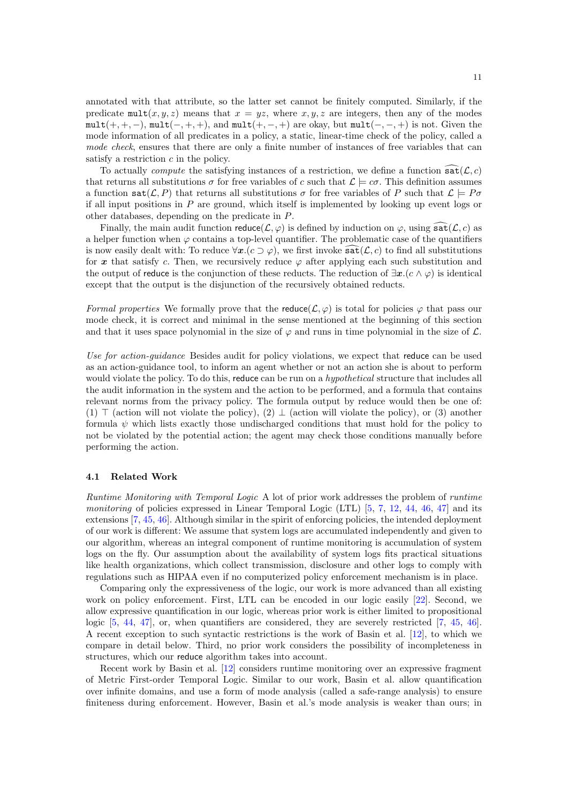annotated with that attribute, so the latter set cannot be finitely computed. Similarly, if the predicate  $mult(x, y, z)$  means that  $x = yz$ , where  $x, y, z$  are integers, then any of the modes  $mult(+, +, -), mult(-, +, +), and mult(+, -, +) are okay, but mult(-, -, +) is not. Given the$ mode information of all predicates in a policy, a static, linear-time check of the policy, called a mode check, ensures that there are only a finite number of instances of free variables that can satisfy a restriction  $c$  in the policy.

To actually *compute* the satisfying instances of a restriction, we define a function  $\text{sat}(\mathcal{L}, c)$ that returns all substitutions  $\sigma$  for free variables of c such that  $\mathcal{L} \models c\sigma$ . This definition assumes a function  $\text{sat}(\mathcal{L}, P)$  that returns all substitutions  $\sigma$  for free variables of P such that  $\mathcal{L} \models P\sigma$ if all input positions in  $P$  are ground, which itself is implemented by looking up event logs or other databases, depending on the predicate in P.

Finally, the main audit function reduce( $\mathcal{L}, \varphi$ ) is defined by induction on  $\varphi$ , using  $\texttt{sat}(\mathcal{L}, c)$  as a helper function when  $\varphi$  contains a top-level quantifier. The problematic case of the quantifiers is now easily dealt with: To reduce  $\forall x. (c \supset \varphi)$ , we first invoke  $\overline{\text{sat}}(\mathcal{L}, c)$  to find all substitutions for x that satisfy c. Then, we recursively reduce  $\varphi$  after applying each such substitution and the output of reduce is the conjunction of these reducts. The reduction of  $\exists x. (c \wedge \varphi)$  is identical except that the output is the disjunction of the recursively obtained reducts.

Formal properties We formally prove that the reduce( $\mathcal{L}, \varphi$ ) is total for policies  $\varphi$  that pass our mode check, it is correct and minimal in the sense mentioned at the beginning of this section and that it uses space polynomial in the size of  $\varphi$  and runs in time polynomial in the size of  $\mathcal{L}$ .

Use for action-quidance Besides audit for policy violations, we expect that reduce can be used as an action-guidance tool, to inform an agent whether or not an action she is about to perform would violate the policy. To do this, reduce can be run on a *hypothetical* structure that includes all the audit information in the system and the action to be performed, and a formula that contains relevant norms from the privacy policy. The formula output by reduce would then be one of: (1)  $\top$  (action will not violate the policy), (2)  $\bot$  (action will violate the policy), or (3) another formula  $\psi$  which lists exactly those undischarged conditions that must hold for the policy to not be violated by the potential action; the agent may check those conditions manually before performing the action.

#### 4.1 Related Work

Runtime Monitoring with Temporal Logic A lot of prior work addresses the problem of runtime *monitoring* of policies expressed in Linear Temporal Logic (LTL)  $[5, 7, 12, 44, 46, 47]$  $[5, 7, 12, 44, 46, 47]$  $[5, 7, 12, 44, 46, 47]$  $[5, 7, 12, 44, 46, 47]$  $[5, 7, 12, 44, 46, 47]$  $[5, 7, 12, 44, 46, 47]$  $[5, 7, 12, 44, 46, 47]$  $[5, 7, 12, 44, 46, 47]$  $[5, 7, 12, 44, 46, 47]$  $[5, 7, 12, 44, 46, 47]$  $[5, 7, 12, 44, 46, 47]$  and its extensions [\[7,](#page-17-5) [45,](#page-19-8) [46\]](#page-19-6). Although similar in the spirit of enforcing policies, the intended deployment of our work is different: We assume that system logs are accumulated independently and given to our algorithm, whereas an integral component of runtime monitoring is accumulation of system logs on the fly. Our assumption about the availability of system logs fits practical situations like health organizations, which collect transmission, disclosure and other logs to comply with regulations such as HIPAA even if no computerized policy enforcement mechanism is in place.

Comparing only the expressiveness of the logic, our work is more advanced than all existing work on policy enforcement. First, LTL can be encoded in our logic easily [\[22\]](#page-18-1). Second, we allow expressive quantification in our logic, whereas prior work is either limited to propositional logic [\[5,](#page-17-4) [44,](#page-19-5) [47\]](#page-19-7), or, when quantifiers are considered, they are severely restricted [\[7,](#page-17-5) [45,](#page-19-8) [46\]](#page-19-6). A recent exception to such syntactic restrictions is the work of Basin et al. [\[12\]](#page-17-6), to which we compare in detail below. Third, no prior work considers the possibility of incompleteness in structures, which our reduce algorithm takes into account.

Recent work by Basin et al. [\[12\]](#page-17-6) considers runtime monitoring over an expressive fragment of Metric First-order Temporal Logic. Similar to our work, Basin et al. allow quantification over infinite domains, and use a form of mode analysis (called a safe-range analysis) to ensure finiteness during enforcement. However, Basin et al.'s mode analysis is weaker than ours; in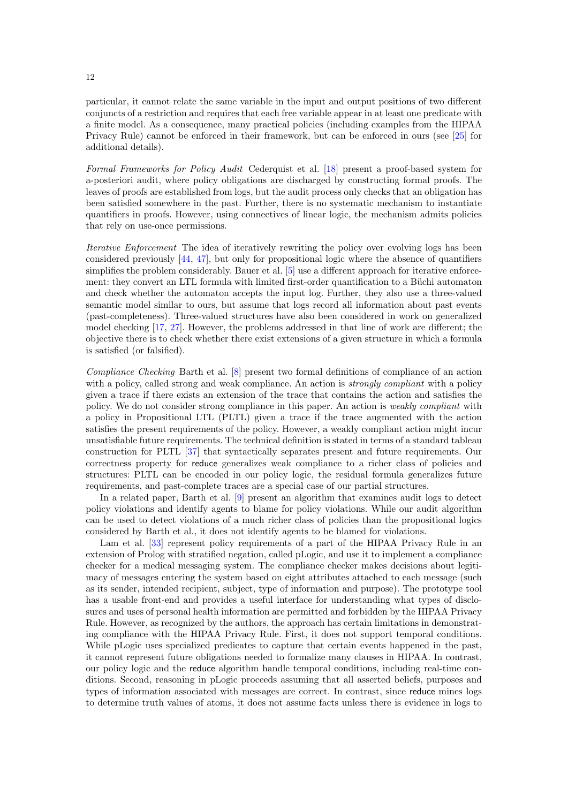particular, it cannot relate the same variable in the input and output positions of two different conjuncts of a restriction and requires that each free variable appear in at least one predicate with a finite model. As a consequence, many practical policies (including examples from the HIPAA Privacy Rule) cannot be enforced in their framework, but can be enforced in ours (see [\[25\]](#page-18-2) for additional details).

Formal Frameworks for Policy Audit Cederquist et al. [\[18\]](#page-18-5) present a proof-based system for a-posteriori audit, where policy obligations are discharged by constructing formal proofs. The leaves of proofs are established from logs, but the audit process only checks that an obligation has been satisfied somewhere in the past. Further, there is no systematic mechanism to instantiate quantifiers in proofs. However, using connectives of linear logic, the mechanism admits policies that rely on use-once permissions.

Iterative Enforcement The idea of iteratively rewriting the policy over evolving logs has been considered previously [\[44,](#page-19-5) [47\]](#page-19-7), but only for propositional logic where the absence of quantifiers simplifies the problem considerably. Bauer et al. [\[5\]](#page-17-4) use a different approach for iterative enforcement: they convert an LTL formula with limited first-order quantification to a Büchi automaton and check whether the automaton accepts the input log. Further, they also use a three-valued semantic model similar to ours, but assume that logs record all information about past events (past-completeness). Three-valued structures have also been considered in work on generalized model checking [\[17,](#page-18-6) [27\]](#page-18-7). However, the problems addressed in that line of work are different; the objective there is to check whether there exist extensions of a given structure in which a formula is satisfied (or falsified).

Compliance Checking Barth et al. [\[8\]](#page-17-0) present two formal definitions of compliance of an action with a policy, called strong and weak compliance. An action is *strongly compliant* with a policy given a trace if there exists an extension of the trace that contains the action and satisfies the policy. We do not consider strong compliance in this paper. An action is weakly compliant with a policy in Propositional LTL (PLTL) given a trace if the trace augmented with the action satisfies the present requirements of the policy. However, a weakly compliant action might incur unsatisfiable future requirements. The technical definition is stated in terms of a standard tableau construction for PLTL [\[37\]](#page-18-4) that syntactically separates present and future requirements. Our correctness property for reduce generalizes weak compliance to a richer class of policies and structures: PLTL can be encoded in our policy logic, the residual formula generalizes future requirements, and past-complete traces are a special case of our partial structures.

In a related paper, Barth et al. [\[9\]](#page-17-1) present an algorithm that examines audit logs to detect policy violations and identify agents to blame for policy violations. While our audit algorithm can be used to detect violations of a much richer class of policies than the propositional logics considered by Barth et al., it does not identify agents to be blamed for violations.

Lam et al. [\[33\]](#page-18-8) represent policy requirements of a part of the HIPAA Privacy Rule in an extension of Prolog with stratified negation, called pLogic, and use it to implement a compliance checker for a medical messaging system. The compliance checker makes decisions about legitimacy of messages entering the system based on eight attributes attached to each message (such as its sender, intended recipient, subject, type of information and purpose). The prototype tool has a usable front-end and provides a useful interface for understanding what types of disclosures and uses of personal health information are permitted and forbidden by the HIPAA Privacy Rule. However, as recognized by the authors, the approach has certain limitations in demonstrating compliance with the HIPAA Privacy Rule. First, it does not support temporal conditions. While pLogic uses specialized predicates to capture that certain events happened in the past, it cannot represent future obligations needed to formalize many clauses in HIPAA. In contrast, our policy logic and the reduce algorithm handle temporal conditions, including real-time conditions. Second, reasoning in pLogic proceeds assuming that all asserted beliefs, purposes and types of information associated with messages are correct. In contrast, since reduce mines logs to determine truth values of atoms, it does not assume facts unless there is evidence in logs to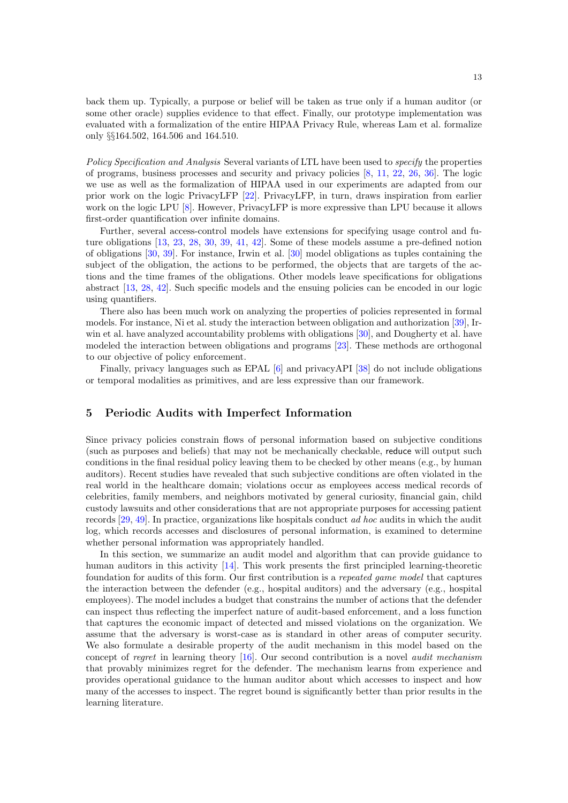back them up. Typically, a purpose or belief will be taken as true only if a human auditor (or some other oracle) supplies evidence to that effect. Finally, our prototype implementation was evaluated with a formalization of the entire HIPAA Privacy Rule, whereas Lam et al. formalize only §§164.502, 164.506 and 164.510.

Policy Specification and Analysis Several variants of LTL have been used to specify the properties of programs, business processes and security and privacy policies [\[8,](#page-17-0) [11,](#page-17-7) [22,](#page-18-1) [26,](#page-18-9) [36\]](#page-18-10). The logic we use as well as the formalization of HIPAA used in our experiments are adapted from our prior work on the logic PrivacyLFP [\[22\]](#page-18-1). PrivacyLFP, in turn, draws inspiration from earlier work on the logic LPU [\[8\]](#page-17-0). However, PrivacyLFP is more expressive than LPU because it allows first-order quantification over infinite domains.

Further, several access-control models have extensions for specifying usage control and future obligations [\[13,](#page-17-8) [23,](#page-18-11) [28,](#page-18-12) [30,](#page-18-13) [39,](#page-19-9) [41,](#page-19-10) [42\]](#page-19-11). Some of these models assume a pre-defined notion of obligations [\[30,](#page-18-13) [39\]](#page-19-9). For instance, Irwin et al. [\[30\]](#page-18-13) model obligations as tuples containing the subject of the obligation, the actions to be performed, the objects that are targets of the actions and the time frames of the obligations. Other models leave specifications for obligations abstract [\[13,](#page-17-8) [28,](#page-18-12) [42\]](#page-19-11). Such specific models and the ensuing policies can be encoded in our logic using quantifiers.

There also has been much work on analyzing the properties of policies represented in formal models. For instance, Ni et al. study the interaction between obligation and authorization [\[39\]](#page-19-9), Irwin et al. have analyzed accountability problems with obligations [\[30\]](#page-18-13), and Dougherty et al. have modeled the interaction between obligations and programs [\[23\]](#page-18-11). These methods are orthogonal to our objective of policy enforcement.

Finally, privacy languages such as EPAL [\[6\]](#page-17-9) and privacyAPI [\[38\]](#page-19-12) do not include obligations or temporal modalities as primitives, and are less expressive than our framework.

# <span id="page-12-0"></span>5 Periodic Audits with Imperfect Information

Since privacy policies constrain flows of personal information based on subjective conditions (such as purposes and beliefs) that may not be mechanically checkable, reduce will output such conditions in the final residual policy leaving them to be checked by other means (e.g., by human auditors). Recent studies have revealed that such subjective conditions are often violated in the real world in the healthcare domain; violations occur as employees access medical records of celebrities, family members, and neighbors motivated by general curiosity, financial gain, child custody lawsuits and other considerations that are not appropriate purposes for accessing patient records [\[29,](#page-18-0) [49\]](#page-19-2). In practice, organizations like hospitals conduct ad hoc audits in which the audit log, which records accesses and disclosures of personal information, is examined to determine whether personal information was appropriately handled.

In this section, we summarize an audit model and algorithm that can provide guidance to human auditors in this activity [\[14\]](#page-17-2). This work presents the first principled learning-theoretic foundation for audits of this form. Our first contribution is a repeated game model that captures the interaction between the defender (e.g., hospital auditors) and the adversary (e.g., hospital employees). The model includes a budget that constrains the number of actions that the defender can inspect thus reflecting the imperfect nature of audit-based enforcement, and a loss function that captures the economic impact of detected and missed violations on the organization. We assume that the adversary is worst-case as is standard in other areas of computer security. We also formulate a desirable property of the audit mechanism in this model based on the concept of regret in learning theory [\[16\]](#page-17-10). Our second contribution is a novel audit mechanism that provably minimizes regret for the defender. The mechanism learns from experience and provides operational guidance to the human auditor about which accesses to inspect and how many of the accesses to inspect. The regret bound is significantly better than prior results in the learning literature.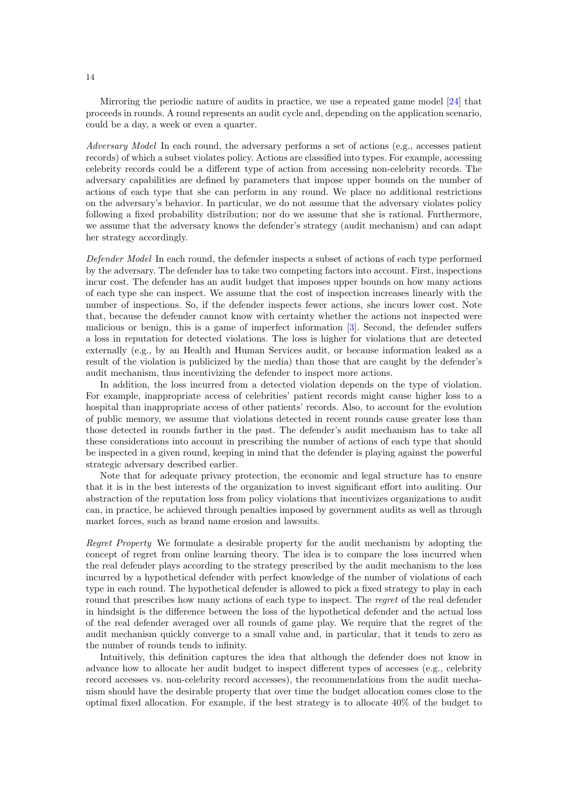Mirroring the periodic nature of audits in practice, we use a repeated game model [\[24\]](#page-18-14) that proceeds in rounds. A round represents an audit cycle and, depending on the application scenario, could be a day, a week or even a quarter.

Adversary Model In each round, the adversary performs a set of actions (e.g., accesses patient records) of which a subset violates policy. Actions are classified into types. For example, accessing celebrity records could be a different type of action from accessing non-celebrity records. The adversary capabilities are defined by parameters that impose upper bounds on the number of actions of each type that she can perform in any round. We place no additional restrictions on the adversary's behavior. In particular, we do not assume that the adversary violates policy following a fixed probability distribution; nor do we assume that she is rational. Furthermore, we assume that the adversary knows the defender's strategy (audit mechanism) and can adapt her strategy accordingly.

Defender Model In each round, the defender inspects a subset of actions of each type performed by the adversary. The defender has to take two competing factors into account. First, inspections incur cost. The defender has an audit budget that imposes upper bounds on how many actions of each type she can inspect. We assume that the cost of inspection increases linearly with the number of inspections. So, if the defender inspects fewer actions, she incurs lower cost. Note that, because the defender cannot know with certainty whether the actions not inspected were malicious or benign, this is a game of imperfect information [\[3\]](#page-17-11). Second, the defender suffers a loss in reputation for detected violations. The loss is higher for violations that are detected externally (e.g., by an Health and Human Services audit, or because information leaked as a result of the violation is publicized by the media) than those that are caught by the defender's audit mechanism, thus incentivizing the defender to inspect more actions.

In addition, the loss incurred from a detected violation depends on the type of violation. For example, inappropriate access of celebrities' patient records might cause higher loss to a hospital than inappropriate access of other patients' records. Also, to account for the evolution of public memory, we assume that violations detected in recent rounds cause greater loss than those detected in rounds farther in the past. The defender's audit mechanism has to take all these considerations into account in prescribing the number of actions of each type that should be inspected in a given round, keeping in mind that the defender is playing against the powerful strategic adversary described earlier.

Note that for adequate privacy protection, the economic and legal structure has to ensure that it is in the best interests of the organization to invest significant effort into auditing. Our abstraction of the reputation loss from policy violations that incentivizes organizations to audit can, in practice, be achieved through penalties imposed by government audits as well as through market forces, such as brand name erosion and lawsuits.

Regret Property We formulate a desirable property for the audit mechanism by adopting the concept of regret from online learning theory. The idea is to compare the loss incurred when the real defender plays according to the strategy prescribed by the audit mechanism to the loss incurred by a hypothetical defender with perfect knowledge of the number of violations of each type in each round. The hypothetical defender is allowed to pick a fixed strategy to play in each round that prescribes how many actions of each type to inspect. The regret of the real defender in hindsight is the difference between the loss of the hypothetical defender and the actual loss of the real defender averaged over all rounds of game play. We require that the regret of the audit mechanism quickly converge to a small value and, in particular, that it tends to zero as the number of rounds tends to infinity.

Intuitively, this definition captures the idea that although the defender does not know in advance how to allocate her audit budget to inspect different types of accesses (e.g., celebrity record accesses vs. non-celebrity record accesses), the recommendations from the audit mechanism should have the desirable property that over time the budget allocation comes close to the optimal fixed allocation. For example, if the best strategy is to allocate 40% of the budget to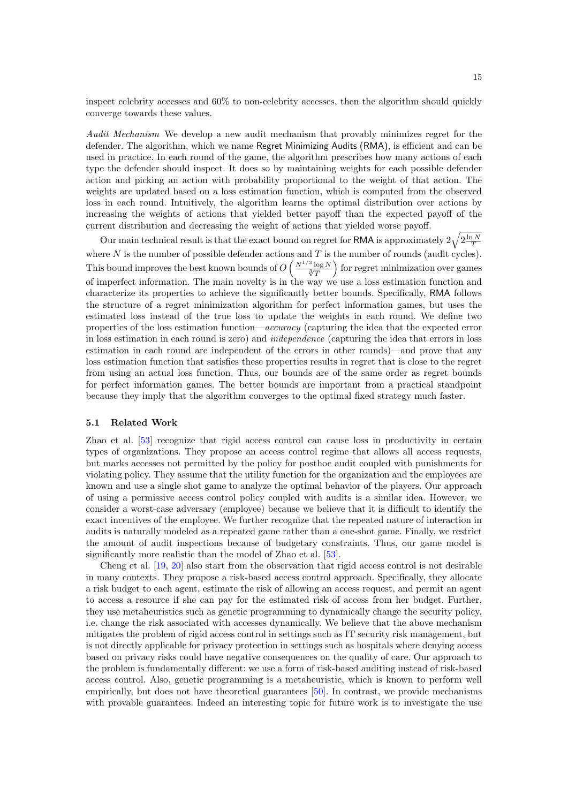inspect celebrity accesses and 60% to non-celebrity accesses, then the algorithm should quickly converge towards these values.

Audit Mechanism We develop a new audit mechanism that provably minimizes regret for the defender. The algorithm, which we name Regret Minimizing Audits (RMA), is efficient and can be used in practice. In each round of the game, the algorithm prescribes how many actions of each type the defender should inspect. It does so by maintaining weights for each possible defender action and picking an action with probability proportional to the weight of that action. The weights are updated based on a loss estimation function, which is computed from the observed loss in each round. Intuitively, the algorithm learns the optimal distribution over actions by increasing the weights of actions that yielded better payoff than the expected payoff of the current distribution and decreasing the weight of actions that yielded worse payoff.

Our main technical result is that the exact bound on regret for RMA is approximately  $2\sqrt{2\frac{\ln N}{T}}$ where  $N$  is the number of possible defender actions and  $T$  is the number of rounds (audit cycles). This bound improves the best known bounds of  $O\left(\frac{N^{1/3}\log N}{\sqrt[3]{T}}\right)$  for regret minimization over games of imperfect information. The main novelty is in the way we use a loss estimation function and characterize its properties to achieve the significantly better bounds. Specifically, RMA follows the structure of a regret minimization algorithm for perfect information games, but uses the estimated loss instead of the true loss to update the weights in each round. We define two properties of the loss estimation function—accuracy (capturing the idea that the expected error in loss estimation in each round is zero) and independence (capturing the idea that errors in loss estimation in each round are independent of the errors in other rounds)—and prove that any loss estimation function that satisfies these properties results in regret that is close to the regret from using an actual loss function. Thus, our bounds are of the same order as regret bounds for perfect information games. The better bounds are important from a practical standpoint because they imply that the algorithm converges to the optimal fixed strategy much faster.

## 5.1 Related Work

Zhao et al. [\[53\]](#page-19-13) recognize that rigid access control can cause loss in productivity in certain types of organizations. They propose an access control regime that allows all access requests, but marks accesses not permitted by the policy for posthoc audit coupled with punishments for violating policy. They assume that the utility function for the organization and the employees are known and use a single shot game to analyze the optimal behavior of the players. Our approach of using a permissive access control policy coupled with audits is a similar idea. However, we consider a worst-case adversary (employee) because we believe that it is difficult to identify the exact incentives of the employee. We further recognize that the repeated nature of interaction in audits is naturally modeled as a repeated game rather than a one-shot game. Finally, we restrict the amount of audit inspections because of budgetary constraints. Thus, our game model is significantly more realistic than the model of Zhao et al. [\[53\]](#page-19-13).

Cheng et al. [\[19,](#page-18-15) [20\]](#page-18-16) also start from the observation that rigid access control is not desirable in many contexts. They propose a risk-based access control approach. Specifically, they allocate a risk budget to each agent, estimate the risk of allowing an access request, and permit an agent to access a resource if she can pay for the estimated risk of access from her budget. Further, they use metaheuristics such as genetic programming to dynamically change the security policy, i.e. change the risk associated with accesses dynamically. We believe that the above mechanism mitigates the problem of rigid access control in settings such as IT security risk management, but is not directly applicable for privacy protection in settings such as hospitals where denying access based on privacy risks could have negative consequences on the quality of care. Our approach to the problem is fundamentally different: we use a form of risk-based auditing instead of risk-based access control. Also, genetic programming is a metaheuristic, which is known to perform well empirically, but does not have theoretical guarantees [\[50\]](#page-19-14). In contrast, we provide mechanisms with provable guarantees. Indeed an interesting topic for future work is to investigate the use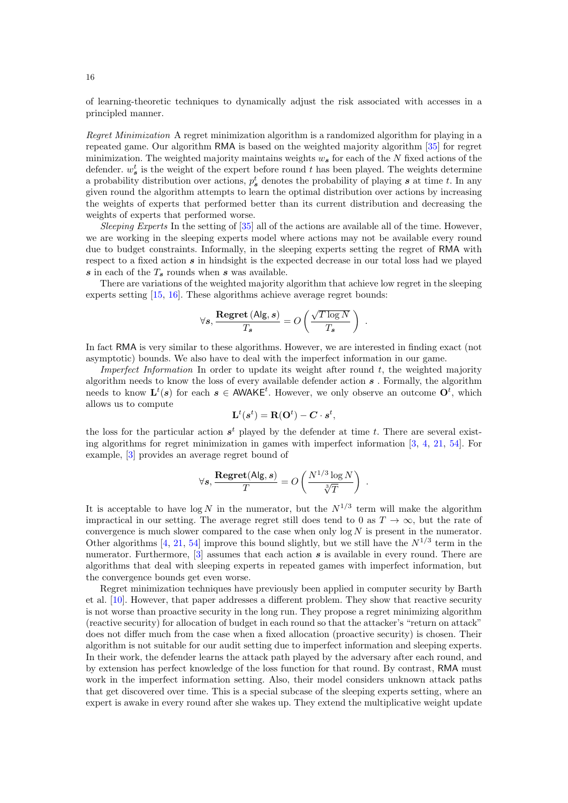of learning-theoretic techniques to dynamically adjust the risk associated with accesses in a principled manner.

Regret Minimization A regret minimization algorithm is a randomized algorithm for playing in a repeated game. Our algorithm RMA is based on the weighted majority algorithm [\[35\]](#page-18-17) for regret minimization. The weighted majority maintains weights  $w_s$  for each of the N fixed actions of the defender.  $w_s^t$  is the weight of the expert before round t has been played. The weights determine a probability distribution over actions,  $p_s^t$  denotes the probability of playing s at time t. In any given round the algorithm attempts to learn the optimal distribution over actions by increasing the weights of experts that performed better than its current distribution and decreasing the weights of experts that performed worse.

*Sleeping Experts* In the setting of  $\left[35\right]$  all of the actions are available all of the time. However, we are working in the sleeping experts model where actions may not be available every round due to budget constraints. Informally, in the sleeping experts setting the regret of RMA with respect to a fixed action s in hindsight is the expected decrease in our total loss had we played s in each of the  $T_s$  rounds when s was available.

There are variations of the weighted majority algorithm that achieve low regret in the sleeping experts setting [\[15,](#page-17-12) [16\]](#page-17-10). These algorithms achieve average regret bounds:

$$
\forall s, \frac{\text{Regret}(\text{Alg}, s)}{T_s} = O\left(\frac{\sqrt{T \log N}}{T_s}\right) .
$$

In fact RMA is very similar to these algorithms. However, we are interested in finding exact (not asymptotic) bounds. We also have to deal with the imperfect information in our game.

Imperfect Information In order to update its weight after round  $t$ , the weighted majority algorithm needs to know the loss of every available defender action  $s$ . Formally, the algorithm needs to know  $\mathbf{L}^t(s)$  for each  $s \in \text{AWAKE}^t$ . However, we only observe an outcome  $\mathbf{O}^t$ , which allows us to compute

$$
\mathbf{L}^{t}(\mathbf{s}^{t}) = \mathbf{R}(\mathbf{O}^{t}) - \mathbf{C} \cdot \mathbf{s}^{t},
$$

the loss for the particular action  $s<sup>t</sup>$  played by the defender at time t. There are several existing algorithms for regret minimization in games with imperfect information [\[3,](#page-17-11) [4,](#page-17-13) [21,](#page-18-18) [54\]](#page-19-15). For example, [\[3\]](#page-17-11) provides an average regret bound of

$$
\forall s, \frac{\text{Regret}(\text{Alg}, s)}{T} = O\left(\frac{N^{1/3}\log N}{\sqrt[3]{T}}\right)
$$

.

It is acceptable to have  $\log N$  in the numerator, but the  $N^{1/3}$  term will make the algorithm impractical in our setting. The average regret still does tend to 0 as  $T \to \infty$ , but the rate of convergence is much slower compared to the case when only  $\log N$  is present in the numerator. Other algorithms [\[4,](#page-17-13) [21,](#page-18-18) [54\]](#page-19-15) improve this bound slightly, but we still have the  $N^{1/3}$  term in the numerator. Furthermore,  $\begin{bmatrix} 3 \end{bmatrix}$  assumes that each action s is available in every round. There are algorithms that deal with sleeping experts in repeated games with imperfect information, but the convergence bounds get even worse.

Regret minimization techniques have previously been applied in computer security by Barth et al. [\[10\]](#page-17-14). However, that paper addresses a different problem. They show that reactive security is not worse than proactive security in the long run. They propose a regret minimizing algorithm (reactive security) for allocation of budget in each round so that the attacker's "return on attack" does not differ much from the case when a fixed allocation (proactive security) is chosen. Their algorithm is not suitable for our audit setting due to imperfect information and sleeping experts. In their work, the defender learns the attack path played by the adversary after each round, and by extension has perfect knowledge of the loss function for that round. By contrast, RMA must work in the imperfect information setting. Also, their model considers unknown attack paths that get discovered over time. This is a special subcase of the sleeping experts setting, where an expert is awake in every round after she wakes up. They extend the multiplicative weight update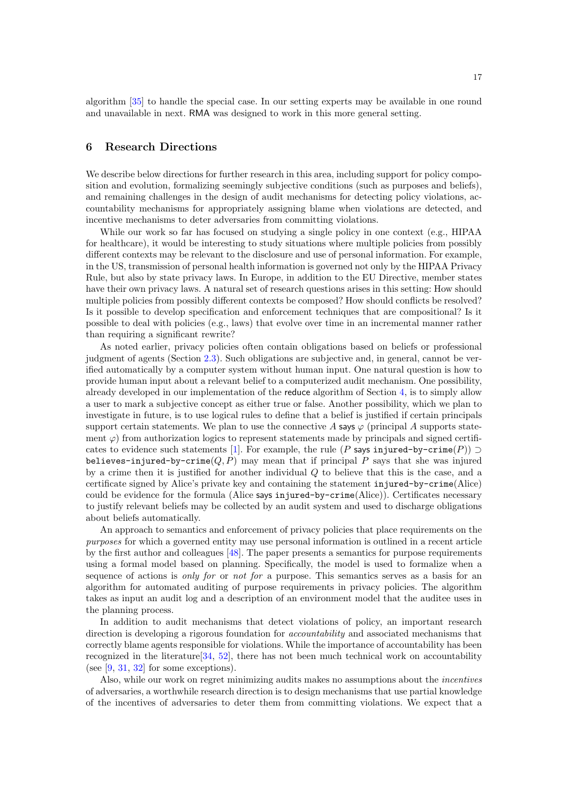algorithm [\[35\]](#page-18-17) to handle the special case. In our setting experts may be available in one round and unavailable in next. RMA was designed to work in this more general setting.

## <span id="page-16-0"></span>6 Research Directions

We describe below directions for further research in this area, including support for policy composition and evolution, formalizing seemingly subjective conditions (such as purposes and beliefs), and remaining challenges in the design of audit mechanisms for detecting policy violations, accountability mechanisms for appropriately assigning blame when violations are detected, and incentive mechanisms to deter adversaries from committing violations.

While our work so far has focused on studying a single policy in one context (e.g., HIPAA for healthcare), it would be interesting to study situations where multiple policies from possibly different contexts may be relevant to the disclosure and use of personal information. For example, in the US, transmission of personal health information is governed not only by the HIPAA Privacy Rule, but also by state privacy laws. In Europe, in addition to the EU Directive, member states have their own privacy laws. A natural set of research questions arises in this setting: How should multiple policies from possibly different contexts be composed? How should conflicts be resolved? Is it possible to develop specification and enforcement techniques that are compositional? Is it possible to deal with policies (e.g., laws) that evolve over time in an incremental manner rather than requiring a significant rewrite?

As noted earlier, privacy policies often contain obligations based on beliefs or professional judgment of agents (Section [2.3\)](#page-5-4). Such obligations are subjective and, in general, cannot be verified automatically by a computer system without human input. One natural question is how to provide human input about a relevant belief to a computerized audit mechanism. One possibility, already developed in our implementation of the reduce algorithm of Section [4,](#page-9-0) is to simply allow a user to mark a subjective concept as either true or false. Another possibility, which we plan to investigate in future, is to use logical rules to define that a belief is justified if certain principals support certain statements. We plan to use the connective A says  $\varphi$  (principal A supports statement  $\varphi$ ) from authorization logics to represent statements made by principals and signed certifi-cates to evidence such statements [\[1\]](#page-17-15). For example, the rule (P says injured-by-crime(P))  $\supset$ believes-injured-by-crime $(Q, P)$  may mean that if principal P says that she was injured by a crime then it is justified for another individual Q to believe that this is the case, and a certificate signed by Alice's private key and containing the statement injured-by-crime(Alice) could be evidence for the formula (Alice says injured-by-crime(Alice)). Certificates necessary to justify relevant beliefs may be collected by an audit system and used to discharge obligations about beliefs automatically.

An approach to semantics and enforcement of privacy policies that place requirements on the purposes for which a governed entity may use personal information is outlined in a recent article by the first author and colleagues [\[48\]](#page-19-16). The paper presents a semantics for purpose requirements using a formal model based on planning. Specifically, the model is used to formalize when a sequence of actions is only for or not for a purpose. This semantics serves as a basis for an algorithm for automated auditing of purpose requirements in privacy policies. The algorithm takes as input an audit log and a description of an environment model that the auditee uses in the planning process.

In addition to audit mechanisms that detect violations of policy, an important research direction is developing a rigorous foundation for *accountability* and associated mechanisms that correctly blame agents responsible for violations. While the importance of accountability has been recognized in the literature[\[34,](#page-18-3) [52\]](#page-19-4), there has not been much technical work on accountability (see  $[9, 31, 32]$  $[9, 31, 32]$  $[9, 31, 32]$  $[9, 31, 32]$  $[9, 31, 32]$  for some exceptions).

Also, while our work on regret minimizing audits makes no assumptions about the incentives of adversaries, a worthwhile research direction is to design mechanisms that use partial knowledge of the incentives of adversaries to deter them from committing violations. We expect that a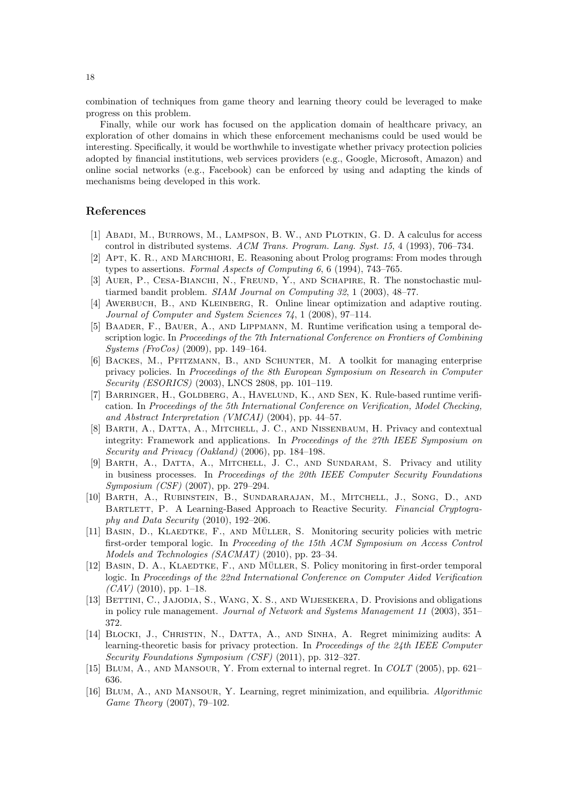combination of techniques from game theory and learning theory could be leveraged to make progress on this problem.

Finally, while our work has focused on the application domain of healthcare privacy, an exploration of other domains in which these enforcement mechanisms could be used would be interesting. Specifically, it would be worthwhile to investigate whether privacy protection policies adopted by financial institutions, web services providers (e.g., Google, Microsoft, Amazon) and online social networks (e.g., Facebook) can be enforced by using and adapting the kinds of mechanisms being developed in this work.

## References

- <span id="page-17-15"></span>[1] Abadi, M., Burrows, M., Lampson, B. W., and Plotkin, G. D. A calculus for access control in distributed systems. ACM Trans. Program. Lang. Syst. 15, 4 (1993), 706–734.
- <span id="page-17-3"></span>[2] Apt, K. R., and Marchiori, E. Reasoning about Prolog programs: From modes through types to assertions. Formal Aspects of Computing 6, 6 (1994), 743–765.
- <span id="page-17-11"></span>[3] AUER, P., CESA-BIANCHI, N., FREUND, Y., AND SCHAPIRE, R. The nonstochastic multiarmed bandit problem. SIAM Journal on Computing 32, 1 (2003), 48–77.
- <span id="page-17-13"></span>[4] Awerbuch, B., and Kleinberg, R. Online linear optimization and adaptive routing. Journal of Computer and System Sciences 74, 1 (2008), 97–114.
- <span id="page-17-4"></span>[5] Baader, F., Bauer, A., and Lippmann, M. Runtime verification using a temporal description logic. In Proceedings of the 7th International Conference on Frontiers of Combining Systems (FroCos) (2009), pp. 149–164.
- <span id="page-17-9"></span>[6] Backes, M., Pfitzmann, B., and Schunter, M. A toolkit for managing enterprise privacy policies. In Proceedings of the 8th European Symposium on Research in Computer Security (ESORICS) (2003), LNCS 2808, pp. 101–119.
- <span id="page-17-5"></span>[7] Barringer, H., Goldberg, A., Havelund, K., and Sen, K. Rule-based runtime verification. In Proceedings of the 5th International Conference on Verification, Model Checking, and Abstract Interpretation (VMCAI) (2004), pp. 44–57.
- <span id="page-17-0"></span>[8] BARTH, A., DATTA, A., MITCHELL, J. C., AND NISSENBAUM, H. Privacy and contextual integrity: Framework and applications. In Proceedings of the 27th IEEE Symposium on Security and Privacy (Oakland) (2006), pp. 184–198.
- <span id="page-17-1"></span>[9] Barth, A., Datta, A., Mitchell, J. C., and Sundaram, S. Privacy and utility in business processes. In Proceedings of the 20th IEEE Computer Security Foundations Symposium (CSF) (2007), pp. 279–294.
- <span id="page-17-14"></span>[10] Barth, A., Rubinstein, B., Sundararajan, M., Mitchell, J., Song, D., and BARTLETT, P. A Learning-Based Approach to Reactive Security. Financial Cryptography and Data Security (2010), 192–206.
- <span id="page-17-7"></span>[11] BASIN, D., KLAEDTKE, F., AND MÜLLER, S. Monitoring security policies with metric first-order temporal logic. In Proceeding of the 15th ACM Symposium on Access Control Models and Technologies (SACMAT) (2010), pp. 23–34.
- <span id="page-17-6"></span>[12] BASIN, D. A., KLAEDTKE, F., AND MÜLLER, S. Policy monitoring in first-order temporal logic. In Proceedings of the 22nd International Conference on Computer Aided Verification  $(CAV)$  (2010), pp. 1–18.
- <span id="page-17-8"></span>[13] BETTINI, C., JAJODIA, S., WANG, X. S., AND WIJESEKERA, D. Provisions and obligations in policy rule management. Journal of Network and Systems Management 11 (2003), 351– 372.
- <span id="page-17-2"></span>[14] Blocki, J., Christin, N., Datta, A., and Sinha, A. Regret minimizing audits: A learning-theoretic basis for privacy protection. In Proceedings of the 24th IEEE Computer Security Foundations Symposium (CSF) (2011), pp. 312–327.
- <span id="page-17-12"></span>[15] Blum, A., and Mansour, Y. From external to internal regret. In COLT (2005), pp. 621– 636.
- <span id="page-17-10"></span>[16] Blum, A., and Mansour, Y. Learning, regret minimization, and equilibria. Algorithmic Game Theory (2007), 79–102.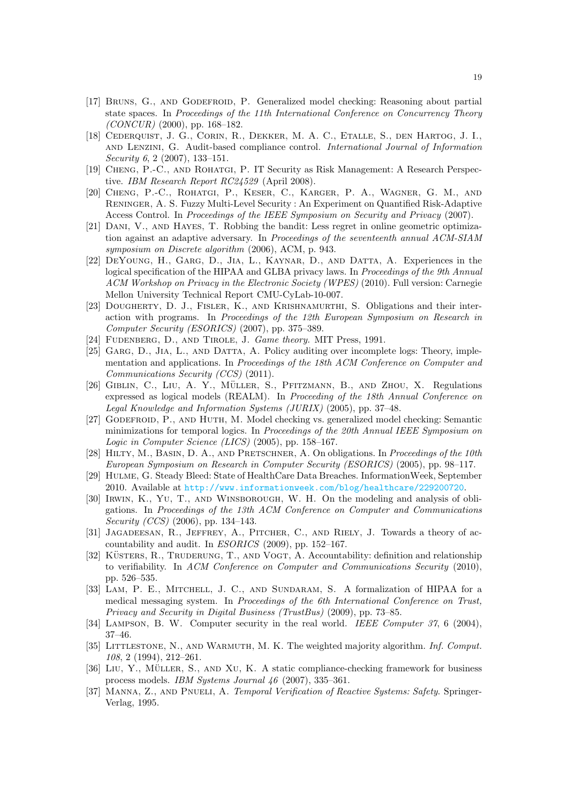- <span id="page-18-6"></span>[17] Bruns, G., and Godefroid, P. Generalized model checking: Reasoning about partial state spaces. In Proceedings of the 11th International Conference on Concurrency Theory  $(CONCUR)$  (2000), pp. 168–182.
- <span id="page-18-5"></span>[18] Cederquist, J. G., Corin, R., Dekker, M. A. C., Etalle, S., den Hartog, J. I., and Lenzini, G. Audit-based compliance control. International Journal of Information Security 6, 2 (2007), 133–151.
- <span id="page-18-15"></span>[19] Cheng, P.-C., and Rohatgi, P. IT Security as Risk Management: A Research Perspective. IBM Research Report RC24529 (April 2008).
- <span id="page-18-16"></span>[20] Cheng, P.-C., Rohatgi, P., Keser, C., Karger, P. A., Wagner, G. M., and Reninger, A. S. Fuzzy Multi-Level Security : An Experiment on Quantified Risk-Adaptive Access Control. In Proceedings of the IEEE Symposium on Security and Privacy (2007).
- <span id="page-18-18"></span>[21] Dani, V., and Hayes, T. Robbing the bandit: Less regret in online geometric optimization against an adaptive adversary. In Proceedings of the seventeenth annual ACM-SIAM symposium on Discrete algorithm (2006), ACM, p. 943.
- <span id="page-18-1"></span>[22] DeYoung, H., Garg, D., Jia, L., Kaynar, D., and Datta, A. Experiences in the logical specification of the HIPAA and GLBA privacy laws. In Proceedings of the 9th Annual ACM Workshop on Privacy in the Electronic Society (WPES) (2010). Full version: Carnegie Mellon University Technical Report CMU-CyLab-10-007.
- <span id="page-18-11"></span>[23] DOUGHERTY, D. J., FISLER, K., AND KRISHNAMURTHI, S. Obligations and their interaction with programs. In Proceedings of the 12th European Symposium on Research in Computer Security (ESORICS) (2007), pp. 375–389.
- <span id="page-18-14"></span>[24] FUDENBERG, D., AND TIROLE, J. Game theory. MIT Press, 1991.
- <span id="page-18-2"></span>[25] Garg, D., Jia, L., and Datta, A. Policy auditing over incomplete logs: Theory, implementation and applications. In Proceedings of the 18th ACM Conference on Computer and Communications Security (CCS) (2011).
- <span id="page-18-9"></span>[26] Giblin, C., Liu, A. Y., Muller, S., Pfitzmann, B., and Zhou, X. ¨ Regulations expressed as logical models (REALM). In Proceeding of the 18th Annual Conference on Legal Knowledge and Information Systems (JURIX) (2005), pp. 37–48.
- <span id="page-18-7"></span>[27] Godefroid, P., and Huth, M. Model checking vs. generalized model checking: Semantic minimizations for temporal logics. In Proceedings of the 20th Annual IEEE Symposium on Logic in Computer Science (LICS) (2005), pp. 158–167.
- <span id="page-18-12"></span>[28] HILTY, M., BASIN, D. A., AND PRETSCHNER, A. On obligations. In *Proceedings of the 10th* European Symposium on Research in Computer Security (ESORICS) (2005), pp. 98–117.
- <span id="page-18-0"></span>[29] Hulme, G. Steady Bleed: State of HealthCare Data Breaches. InformationWeek, September 2010. Available at <http://www.informationweek.com/blog/healthcare/229200720>.
- <span id="page-18-13"></span>[30] IRWIN, K., YU, T., AND WINSBOROUGH, W. H. On the modeling and analysis of obligations. In Proceedings of the 13th ACM Conference on Computer and Communications Security (CCS) (2006), pp. 134–143.
- <span id="page-18-19"></span>[31] Jagadeesan, R., Jeffrey, A., Pitcher, C., and Riely, J. Towards a theory of accountability and audit. In ESORICS (2009), pp. 152–167.
- <span id="page-18-20"></span> $[32]$  KÜSTERS, R., TRUDERUNG, T., AND VOGT, A. Accountability: definition and relationship to verifiability. In ACM Conference on Computer and Communications Security (2010), pp. 526–535.
- <span id="page-18-8"></span>[33] Lam, P. E., Mitchell, J. C., and Sundaram, S. A formalization of HIPAA for a medical messaging system. In Proceedings of the 6th International Conference on Trust, Privacy and Security in Digital Business (TrustBus) (2009), pp. 73–85.
- <span id="page-18-3"></span>[34] LAMPSON, B. W. Computer security in the real world. *IEEE Computer 37*, 6 (2004), 37–46.
- <span id="page-18-17"></span>[35] LITTLESTONE, N., AND WARMUTH, M. K. The weighted majority algorithm. Inf. Comput. 108, 2 (1994), 212–261.
- <span id="page-18-10"></span>[36] LIU, Y., MÜLLER, S., AND XU, K. A static compliance-checking framework for business process models. IBM Systems Journal 46 (2007), 335–361.
- <span id="page-18-4"></span>[37] MANNA, Z., AND PNUELI, A. Temporal Verification of Reactive Systems: Safety. Springer-Verlag, 1995.